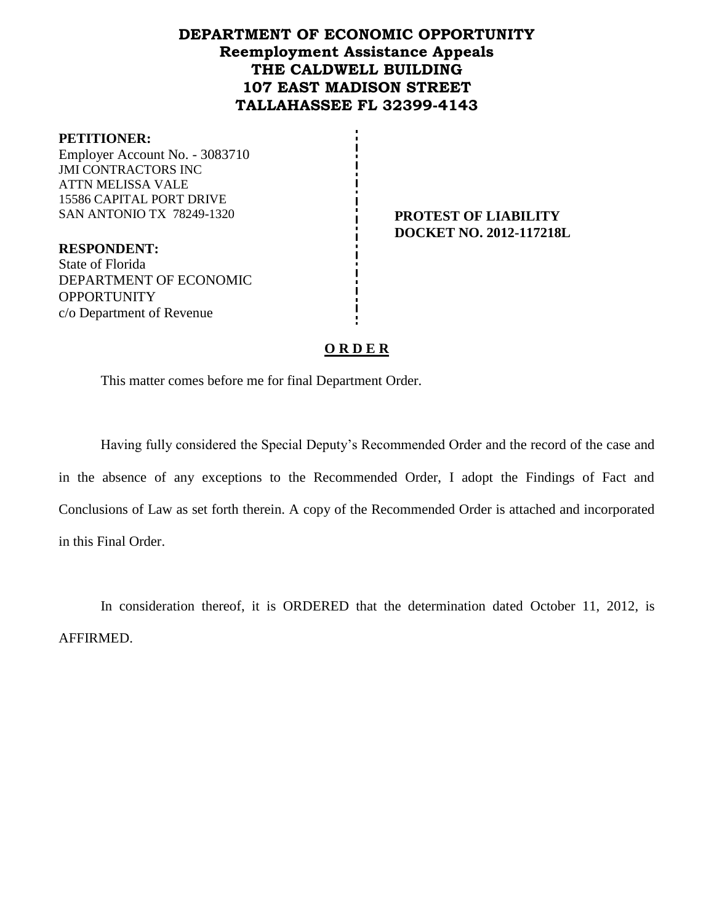# **DEPARTMENT OF ECONOMIC OPPORTUNITY Reemployment Assistance Appeals THE CALDWELL BUILDING 107 EAST MADISON STREET TALLAHASSEE FL 32399-4143**

#### **PETITIONER:**

Employer Account No. - 3083710 JMI CONTRACTORS INC ATTN MELISSA VALE 15586 CAPITAL PORT DRIVE SAN ANTONIO TX 78249-1320 **PROTEST OF LIABILITY** 

**DOCKET NO. 2012-117218L**

**RESPONDENT:** State of Florida DEPARTMENT OF ECONOMIC **OPPORTUNITY** c/o Department of Revenue

### **O R D E R**

This matter comes before me for final Department Order.

Having fully considered the Special Deputy's Recommended Order and the record of the case and in the absence of any exceptions to the Recommended Order, I adopt the Findings of Fact and Conclusions of Law as set forth therein. A copy of the Recommended Order is attached and incorporated in this Final Order.

In consideration thereof, it is ORDERED that the determination dated October 11, 2012, is AFFIRMED.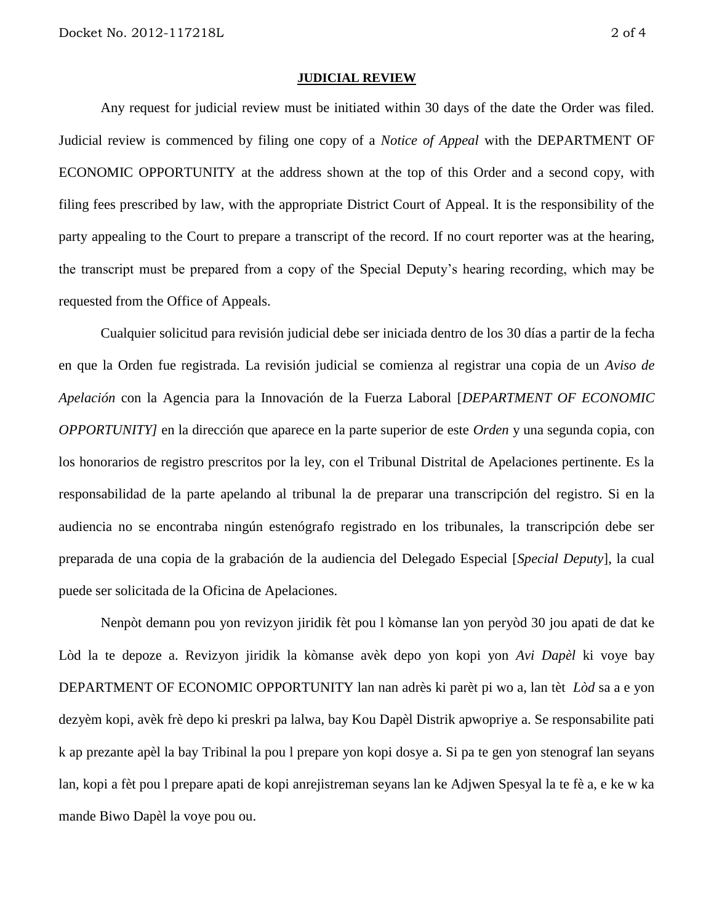#### **JUDICIAL REVIEW**

Any request for judicial review must be initiated within 30 days of the date the Order was filed. Judicial review is commenced by filing one copy of a *Notice of Appeal* with the DEPARTMENT OF ECONOMIC OPPORTUNITY at the address shown at the top of this Order and a second copy, with filing fees prescribed by law, with the appropriate District Court of Appeal. It is the responsibility of the party appealing to the Court to prepare a transcript of the record. If no court reporter was at the hearing, the transcript must be prepared from a copy of the Special Deputy's hearing recording, which may be requested from the Office of Appeals.

Cualquier solicitud para revisión judicial debe ser iniciada dentro de los 30 días a partir de la fecha en que la Orden fue registrada. La revisión judicial se comienza al registrar una copia de un *Aviso de Apelación* con la Agencia para la Innovación de la Fuerza Laboral [*DEPARTMENT OF ECONOMIC OPPORTUNITY]* en la dirección que aparece en la parte superior de este *Orden* y una segunda copia, con los honorarios de registro prescritos por la ley, con el Tribunal Distrital de Apelaciones pertinente. Es la responsabilidad de la parte apelando al tribunal la de preparar una transcripción del registro. Si en la audiencia no se encontraba ningún estenógrafo registrado en los tribunales, la transcripción debe ser preparada de una copia de la grabación de la audiencia del Delegado Especial [*Special Deputy*], la cual puede ser solicitada de la Oficina de Apelaciones.

Nenpòt demann pou yon revizyon jiridik fèt pou l kòmanse lan yon peryòd 30 jou apati de dat ke Lòd la te depoze a. Revizyon jiridik la kòmanse avèk depo yon kopi yon *Avi Dapèl* ki voye bay DEPARTMENT OF ECONOMIC OPPORTUNITY lan nan adrès ki parèt pi wo a, lan tèt *Lòd* sa a e yon dezyèm kopi, avèk frè depo ki preskri pa lalwa, bay Kou Dapèl Distrik apwopriye a. Se responsabilite pati k ap prezante apèl la bay Tribinal la pou l prepare yon kopi dosye a. Si pa te gen yon stenograf lan seyans lan, kopi a fèt pou l prepare apati de kopi anrejistreman seyans lan ke Adjwen Spesyal la te fè a, e ke w ka mande Biwo Dapèl la voye pou ou.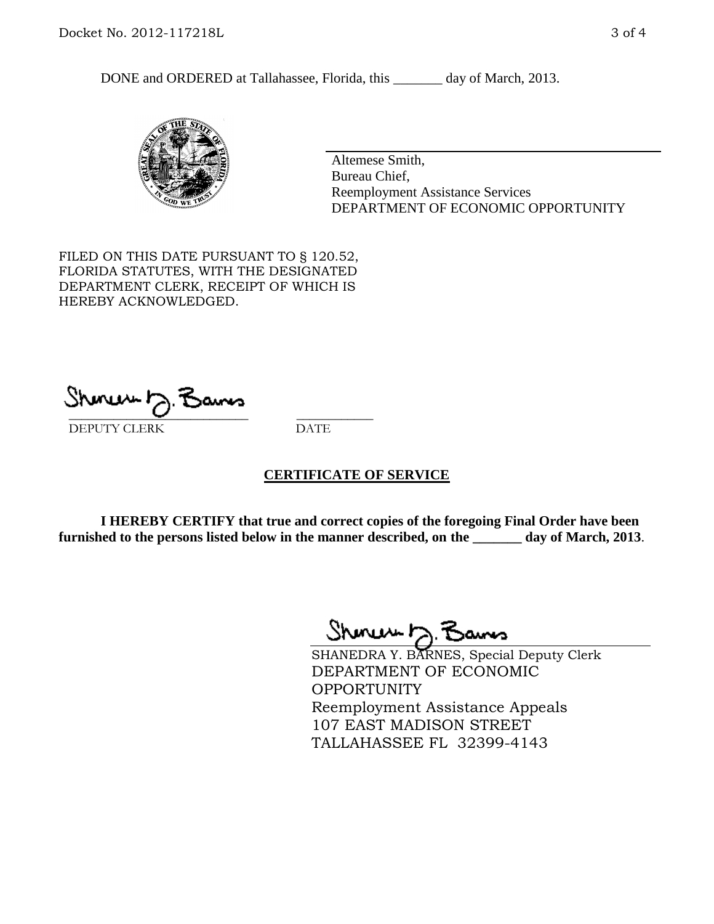DONE and ORDERED at Tallahassee, Florida, this day of March, 2013.



Altemese Smith, Bureau Chief, Reemployment Assistance Services DEPARTMENT OF ECONOMIC OPPORTUNITY

FILED ON THIS DATE PURSUANT TO § 120.52, FLORIDA STATUTES, WITH THE DESIGNATED DEPARTMENT CLERK, RECEIPT OF WHICH IS HEREBY ACKNOWLEDGED.

 $\overline{\phantom{a}}$  ,  $\overline{\phantom{a}}$  ,  $\overline{\phantom{a}}$  ,  $\overline{\phantom{a}}$  ,  $\overline{\phantom{a}}$  ,  $\overline{\phantom{a}}$  ,  $\overline{\phantom{a}}$  ,  $\overline{\phantom{a}}$  ,  $\overline{\phantom{a}}$  ,  $\overline{\phantom{a}}$  ,  $\overline{\phantom{a}}$  ,  $\overline{\phantom{a}}$  ,  $\overline{\phantom{a}}$  ,  $\overline{\phantom{a}}$  ,  $\overline{\phantom{a}}$  ,  $\overline{\phantom{a}}$ DEPUTY CLERK DATE

## **CERTIFICATE OF SERVICE**

**I HEREBY CERTIFY that true and correct copies of the foregoing Final Order have been furnished to the persons listed below in the manner described, on the \_\_\_\_\_\_\_ day of March, 2013**.

Shenux D.F

SHANEDRA Y. BARNES, Special Deputy Clerk DEPARTMENT OF ECONOMIC **OPPORTUNITY** Reemployment Assistance Appeals 107 EAST MADISON STREET TALLAHASSEE FL 32399-4143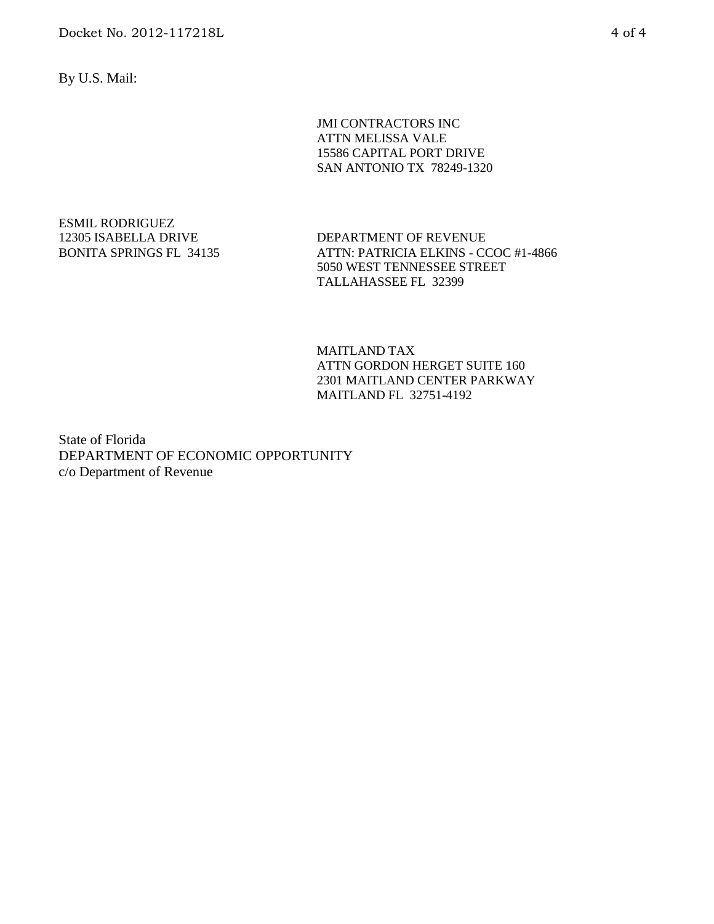By U.S. Mail:

JMI CONTRACTORS INC ATTN MELISSA VALE 15586 CAPITAL PORT DRIVE SAN ANTONIO TX 78249-1320

ESMIL RODRIGUEZ 12305 ISABELLA DRIVE BONITA SPRINGS FL 34135

DEPARTMENT OF REVENUE ATTN: PATRICIA ELKINS - CCOC #1-4866 5050 WEST TENNESSEE STREET TALLAHASSEE FL 32399

MAITLAND TAX ATTN GORDON HERGET SUITE 160 2301 MAITLAND CENTER PARKWAY MAITLAND FL 32751-4192

State of Florida DEPARTMENT OF ECONOMIC OPPORTUNITY c/o Department of Revenue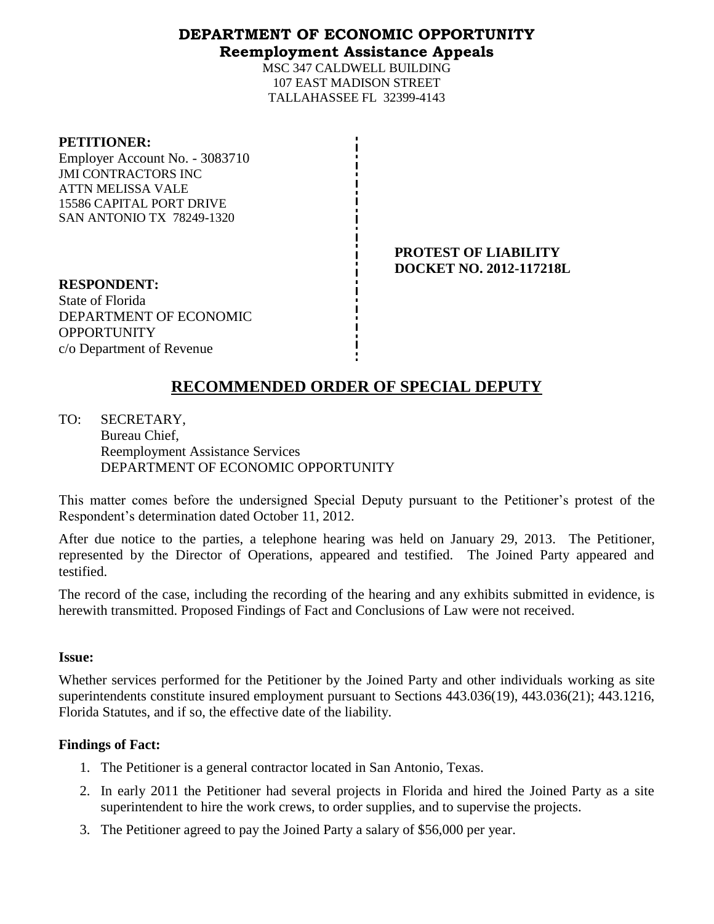## **DEPARTMENT OF ECONOMIC OPPORTUNITY Reemployment Assistance Appeals**

MSC 347 CALDWELL BUILDING 107 EAST MADISON STREET TALLAHASSEE FL 32399-4143

### **PETITIONER:**

Employer Account No. - 3083710 JMI CONTRACTORS INC ATTN MELISSA VALE 15586 CAPITAL PORT DRIVE SAN ANTONIO TX 78249-1320

> **PROTEST OF LIABILITY DOCKET NO. 2012-117218L**

**RESPONDENT:** State of Florida DEPARTMENT OF ECONOMIC **OPPORTUNITY** c/o Department of Revenue

# **RECOMMENDED ORDER OF SPECIAL DEPUTY**

TO: SECRETARY, Bureau Chief, Reemployment Assistance Services DEPARTMENT OF ECONOMIC OPPORTUNITY

This matter comes before the undersigned Special Deputy pursuant to the Petitioner's protest of the Respondent's determination dated October 11, 2012.

After due notice to the parties, a telephone hearing was held on January 29, 2013. The Petitioner, represented by the Director of Operations, appeared and testified. The Joined Party appeared and testified.

The record of the case, including the recording of the hearing and any exhibits submitted in evidence, is herewith transmitted. Proposed Findings of Fact and Conclusions of Law were not received.

## **Issue:**

Whether services performed for the Petitioner by the Joined Party and other individuals working as site superintendents constitute insured employment pursuant to Sections 443.036(19), 443.036(21); 443.1216, Florida Statutes, and if so, the effective date of the liability.

## **Findings of Fact:**

- 1. The Petitioner is a general contractor located in San Antonio, Texas.
- 2. In early 2011 the Petitioner had several projects in Florida and hired the Joined Party as a site superintendent to hire the work crews, to order supplies, and to supervise the projects.
- 3. The Petitioner agreed to pay the Joined Party a salary of \$56,000 per year.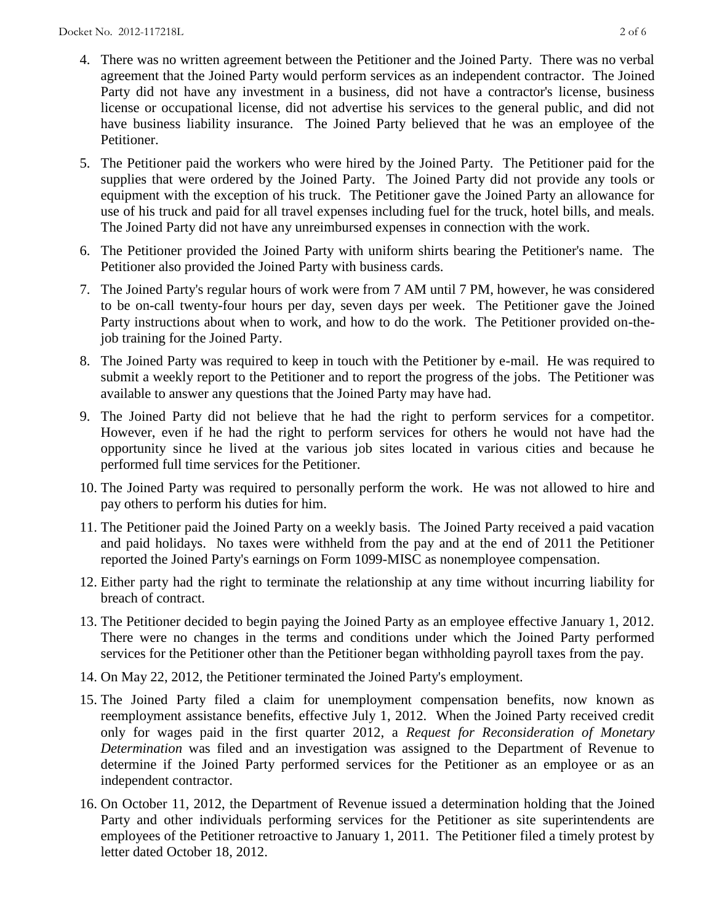- 4. There was no written agreement between the Petitioner and the Joined Party. There was no verbal agreement that the Joined Party would perform services as an independent contractor. The Joined Party did not have any investment in a business, did not have a contractor's license, business license or occupational license, did not advertise his services to the general public, and did not have business liability insurance. The Joined Party believed that he was an employee of the Petitioner.
- 5. The Petitioner paid the workers who were hired by the Joined Party. The Petitioner paid for the supplies that were ordered by the Joined Party. The Joined Party did not provide any tools or equipment with the exception of his truck. The Petitioner gave the Joined Party an allowance for use of his truck and paid for all travel expenses including fuel for the truck, hotel bills, and meals. The Joined Party did not have any unreimbursed expenses in connection with the work.
- 6. The Petitioner provided the Joined Party with uniform shirts bearing the Petitioner's name. The Petitioner also provided the Joined Party with business cards.
- 7. The Joined Party's regular hours of work were from 7 AM until 7 PM, however, he was considered to be on-call twenty-four hours per day, seven days per week. The Petitioner gave the Joined Party instructions about when to work, and how to do the work. The Petitioner provided on-thejob training for the Joined Party.
- 8. The Joined Party was required to keep in touch with the Petitioner by e-mail. He was required to submit a weekly report to the Petitioner and to report the progress of the jobs. The Petitioner was available to answer any questions that the Joined Party may have had.
- 9. The Joined Party did not believe that he had the right to perform services for a competitor. However, even if he had the right to perform services for others he would not have had the opportunity since he lived at the various job sites located in various cities and because he performed full time services for the Petitioner.
- 10. The Joined Party was required to personally perform the work. He was not allowed to hire and pay others to perform his duties for him.
- 11. The Petitioner paid the Joined Party on a weekly basis. The Joined Party received a paid vacation and paid holidays. No taxes were withheld from the pay and at the end of 2011 the Petitioner reported the Joined Party's earnings on Form 1099-MISC as nonemployee compensation.
- 12. Either party had the right to terminate the relationship at any time without incurring liability for breach of contract.
- 13. The Petitioner decided to begin paying the Joined Party as an employee effective January 1, 2012. There were no changes in the terms and conditions under which the Joined Party performed services for the Petitioner other than the Petitioner began withholding payroll taxes from the pay.
- 14. On May 22, 2012, the Petitioner terminated the Joined Party's employment.
- 15. The Joined Party filed a claim for unemployment compensation benefits, now known as reemployment assistance benefits, effective July 1, 2012. When the Joined Party received credit only for wages paid in the first quarter 2012, a *Request for Reconsideration of Monetary Determination* was filed and an investigation was assigned to the Department of Revenue to determine if the Joined Party performed services for the Petitioner as an employee or as an independent contractor.
- 16. On October 11, 2012, the Department of Revenue issued a determination holding that the Joined Party and other individuals performing services for the Petitioner as site superintendents are employees of the Petitioner retroactive to January 1, 2011. The Petitioner filed a timely protest by letter dated October 18, 2012.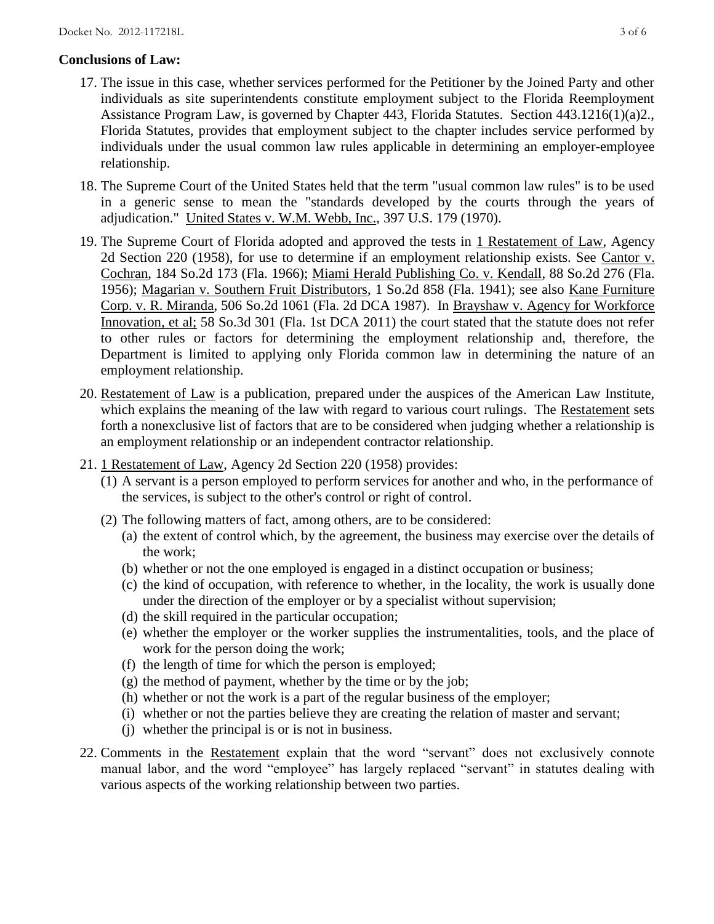## **Conclusions of Law:**

- 17. The issue in this case, whether services performed for the Petitioner by the Joined Party and other individuals as site superintendents constitute employment subject to the Florida Reemployment Assistance Program Law, is governed by Chapter 443, Florida Statutes. Section 443.1216(1)(a)2., Florida Statutes, provides that employment subject to the chapter includes service performed by individuals under the usual common law rules applicable in determining an employer-employee relationship.
- 18. The Supreme Court of the United States held that the term "usual common law rules" is to be used in a generic sense to mean the "standards developed by the courts through the years of adjudication." United States v. W.M. Webb, Inc., 397 U.S. 179 (1970).
- 19. The Supreme Court of Florida adopted and approved the tests in 1 Restatement of Law, Agency 2d Section 220 (1958), for use to determine if an employment relationship exists. See Cantor v. Cochran, 184 So.2d 173 (Fla. 1966); Miami Herald Publishing Co. v. Kendall, 88 So.2d 276 (Fla. 1956); Magarian v. Southern Fruit Distributors, 1 So.2d 858 (Fla. 1941); see also Kane Furniture Corp. v. R. Miranda, 506 So.2d 1061 (Fla. 2d DCA 1987). In Brayshaw v. Agency for Workforce Innovation, et al; 58 So.3d 301 (Fla. 1st DCA 2011) the court stated that the statute does not refer to other rules or factors for determining the employment relationship and, therefore, the Department is limited to applying only Florida common law in determining the nature of an employment relationship.
- 20. Restatement of Law is a publication, prepared under the auspices of the American Law Institute, which explains the meaning of the law with regard to various court rulings. The Restatement sets forth a nonexclusive list of factors that are to be considered when judging whether a relationship is an employment relationship or an independent contractor relationship.
- 21. 1 Restatement of Law, Agency 2d Section 220 (1958) provides:
	- (1) A servant is a person employed to perform services for another and who, in the performance of the services, is subject to the other's control or right of control.
	- (2) The following matters of fact, among others, are to be considered:
		- (a) the extent of control which, by the agreement, the business may exercise over the details of the work;
		- (b) whether or not the one employed is engaged in a distinct occupation or business;
		- (c) the kind of occupation, with reference to whether, in the locality, the work is usually done under the direction of the employer or by a specialist without supervision;
		- (d) the skill required in the particular occupation;
		- (e) whether the employer or the worker supplies the instrumentalities, tools, and the place of work for the person doing the work;
		- (f) the length of time for which the person is employed;
		- $(g)$  the method of payment, whether by the time or by the job;
		- (h) whether or not the work is a part of the regular business of the employer;
		- (i) whether or not the parties believe they are creating the relation of master and servant;
		- (j) whether the principal is or is not in business.
- 22. Comments in the Restatement explain that the word "servant" does not exclusively connote manual labor, and the word "employee" has largely replaced "servant" in statutes dealing with various aspects of the working relationship between two parties.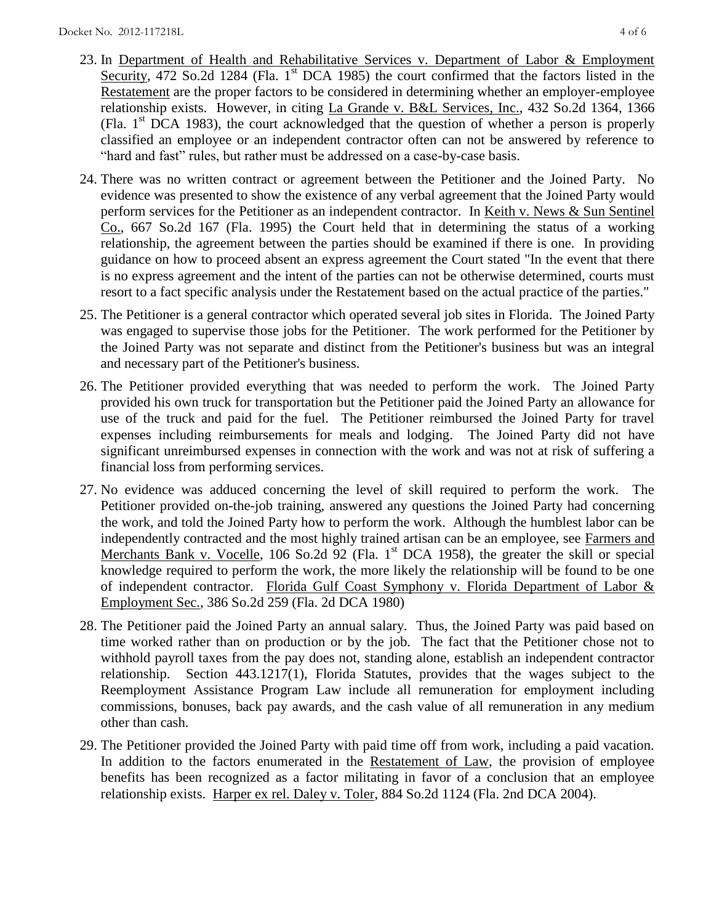- 23. In Department of Health and Rehabilitative Services v. Department of Labor & Employment Security, 472 So.2d 1284 (Fla.  $1<sup>st</sup>$  DCA 1985) the court confirmed that the factors listed in the Restatement are the proper factors to be considered in determining whether an employer-employee relationship exists. However, in citing La Grande v. B&L Services, Inc., 432 So.2d 1364, 1366 (Fla.  $1<sup>st</sup> DCA$  1983), the court acknowledged that the question of whether a person is properly classified an employee or an independent contractor often can not be answered by reference to "hard and fast" rules, but rather must be addressed on a case-by-case basis.
- 24. There was no written contract or agreement between the Petitioner and the Joined Party. No evidence was presented to show the existence of any verbal agreement that the Joined Party would perform services for the Petitioner as an independent contractor. In Keith v. News & Sun Sentinel Co., 667 So.2d 167 (Fla. 1995) the Court held that in determining the status of a working relationship, the agreement between the parties should be examined if there is one. In providing guidance on how to proceed absent an express agreement the Court stated "In the event that there is no express agreement and the intent of the parties can not be otherwise determined, courts must resort to a fact specific analysis under the Restatement based on the actual practice of the parties."
- 25. The Petitioner is a general contractor which operated several job sites in Florida. The Joined Party was engaged to supervise those jobs for the Petitioner. The work performed for the Petitioner by the Joined Party was not separate and distinct from the Petitioner's business but was an integral and necessary part of the Petitioner's business.
- 26. The Petitioner provided everything that was needed to perform the work. The Joined Party provided his own truck for transportation but the Petitioner paid the Joined Party an allowance for use of the truck and paid for the fuel. The Petitioner reimbursed the Joined Party for travel expenses including reimbursements for meals and lodging. The Joined Party did not have significant unreimbursed expenses in connection with the work and was not at risk of suffering a financial loss from performing services.
- 27. No evidence was adduced concerning the level of skill required to perform the work. The Petitioner provided on-the-job training, answered any questions the Joined Party had concerning the work, and told the Joined Party how to perform the work. Although the humblest labor can be independently contracted and the most highly trained artisan can be an employee, see Farmers and Merchants Bank v. Vocelle, 106 So.2d  $\frac{92}{2}$  (Fla. 1<sup>st</sup> DCA 1958), the greater the skill or special knowledge required to perform the work, the more likely the relationship will be found to be one of independent contractor. Florida Gulf Coast Symphony v. Florida Department of Labor & Employment Sec., 386 So.2d 259 (Fla. 2d DCA 1980)
- 28. The Petitioner paid the Joined Party an annual salary. Thus, the Joined Party was paid based on time worked rather than on production or by the job. The fact that the Petitioner chose not to withhold payroll taxes from the pay does not, standing alone, establish an independent contractor relationship. Section 443.1217(1), Florida Statutes, provides that the wages subject to the Reemployment Assistance Program Law include all remuneration for employment including commissions, bonuses, back pay awards, and the cash value of all remuneration in any medium other than cash.
- 29. The Petitioner provided the Joined Party with paid time off from work, including a paid vacation. In addition to the factors enumerated in the Restatement of Law, the provision of employee benefits has been recognized as a factor militating in favor of a conclusion that an employee relationship exists. Harper ex rel. Daley v. Toler, 884 So.2d 1124 (Fla. 2nd DCA 2004).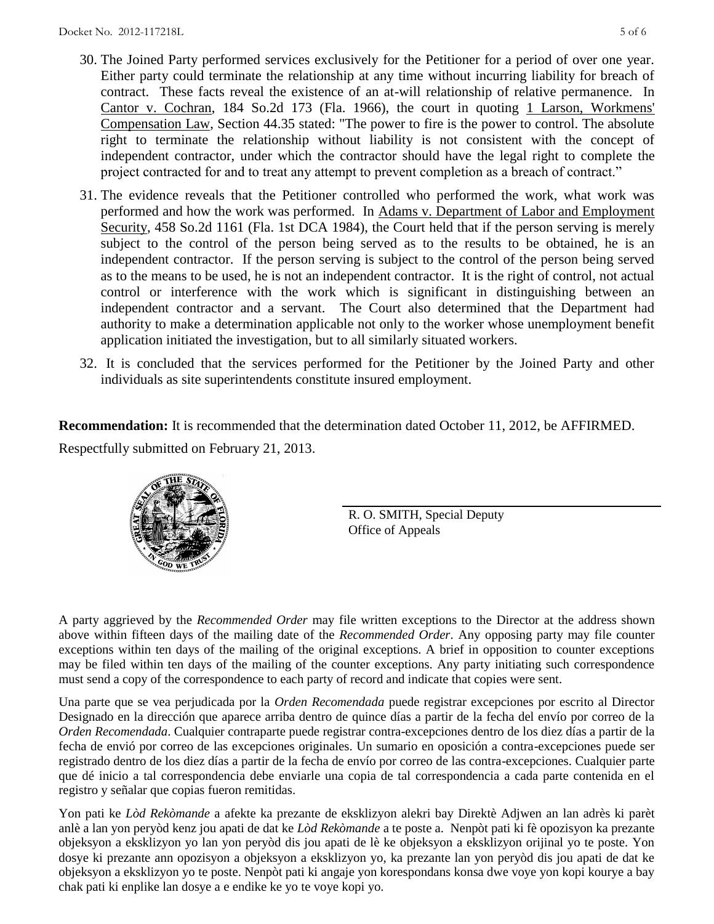- 30. The Joined Party performed services exclusively for the Petitioner for a period of over one year. Either party could terminate the relationship at any time without incurring liability for breach of contract. These facts reveal the existence of an at-will relationship of relative permanence. In Cantor v. Cochran, 184 So.2d 173 (Fla. 1966), the court in quoting 1 Larson, Workmens' Compensation Law, Section 44.35 stated: "The power to fire is the power to control. The absolute right to terminate the relationship without liability is not consistent with the concept of independent contractor, under which the contractor should have the legal right to complete the project contracted for and to treat any attempt to prevent completion as a breach of contract."
- 31. The evidence reveals that the Petitioner controlled who performed the work, what work was performed and how the work was performed. In Adams v. Department of Labor and Employment Security, 458 So.2d 1161 (Fla. 1st DCA 1984), the Court held that if the person serving is merely subject to the control of the person being served as to the results to be obtained, he is an independent contractor. If the person serving is subject to the control of the person being served as to the means to be used, he is not an independent contractor. It is the right of control, not actual control or interference with the work which is significant in distinguishing between an independent contractor and a servant. The Court also determined that the Department had authority to make a determination applicable not only to the worker whose unemployment benefit application initiated the investigation, but to all similarly situated workers.
- 32. It is concluded that the services performed for the Petitioner by the Joined Party and other individuals as site superintendents constitute insured employment.

**Recommendation:** It is recommended that the determination dated October 11, 2012, be AFFIRMED. Respectfully submitted on February 21, 2013.

> R. O. SMITH, Special Deputy Office of Appeals

A party aggrieved by the *Recommended Order* may file written exceptions to the Director at the address shown above within fifteen days of the mailing date of the *Recommended Order*. Any opposing party may file counter exceptions within ten days of the mailing of the original exceptions. A brief in opposition to counter exceptions may be filed within ten days of the mailing of the counter exceptions. Any party initiating such correspondence must send a copy of the correspondence to each party of record and indicate that copies were sent.

Una parte que se vea perjudicada por la *Orden Recomendada* puede registrar excepciones por escrito al Director Designado en la dirección que aparece arriba dentro de quince días a partir de la fecha del envío por correo de la *Orden Recomendada*. Cualquier contraparte puede registrar contra-excepciones dentro de los diez días a partir de la fecha de envió por correo de las excepciones originales. Un sumario en oposición a contra-excepciones puede ser registrado dentro de los diez días a partir de la fecha de envío por correo de las contra-excepciones. Cualquier parte que dé inicio a tal correspondencia debe enviarle una copia de tal correspondencia a cada parte contenida en el registro y señalar que copias fueron remitidas.

Yon pati ke *Lòd Rekòmande* a afekte ka prezante de eksklizyon alekri bay Direktè Adjwen an lan adrès ki parèt anlè a lan yon peryòd kenz jou apati de dat ke *Lòd Rekòmande* a te poste a. Nenpòt pati ki fè opozisyon ka prezante objeksyon a eksklizyon yo lan yon peryòd dis jou apati de lè ke objeksyon a eksklizyon orijinal yo te poste. Yon dosye ki prezante ann opozisyon a objeksyon a eksklizyon yo, ka prezante lan yon peryòd dis jou apati de dat ke objeksyon a eksklizyon yo te poste. Nenpòt pati ki angaje yon korespondans konsa dwe voye yon kopi kourye a bay chak pati ki enplike lan dosye a e endike ke yo te voye kopi yo.